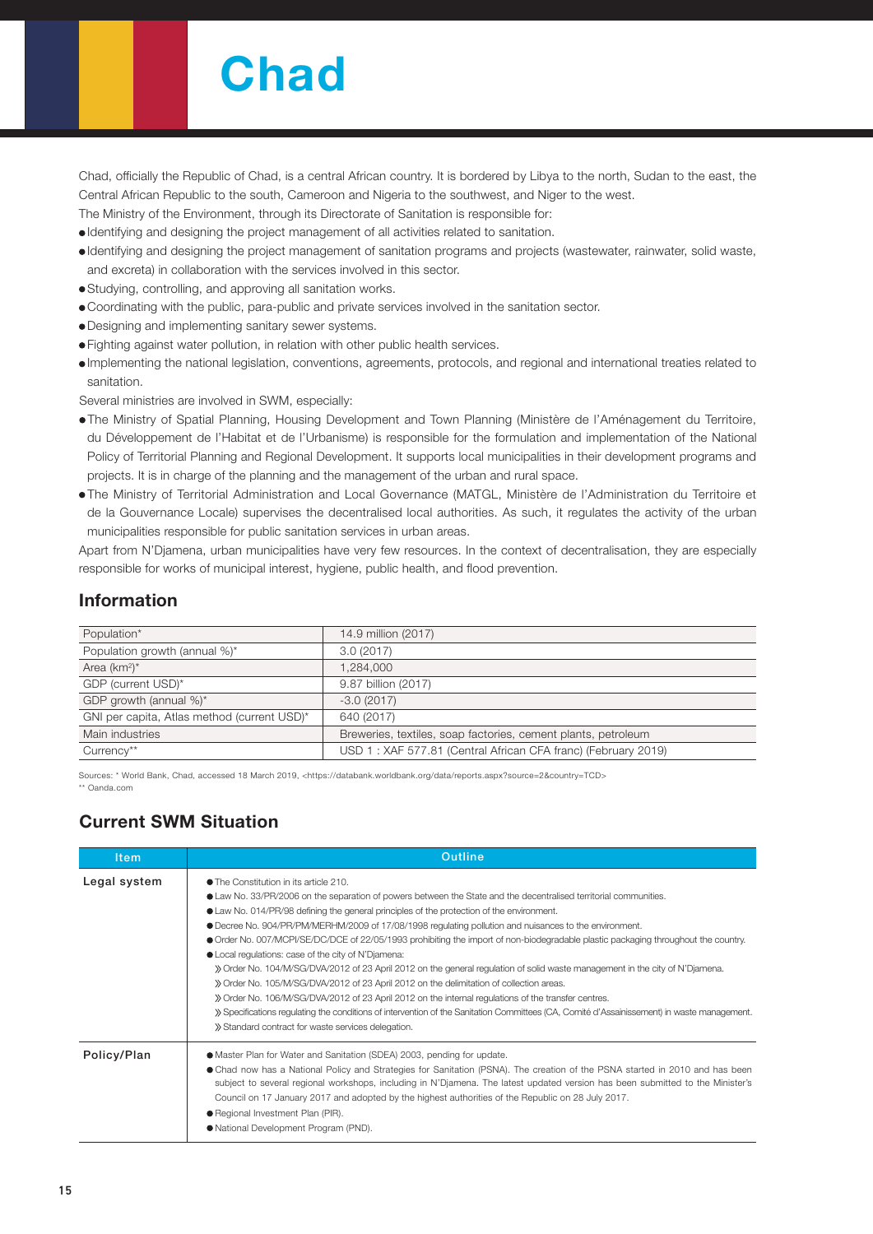# **Chad**

Chad, officially the Republic of Chad, is a central African country. It is bordered by Libya to the north, Sudan to the east, the Central African Republic to the south, Cameroon and Nigeria to the southwest, and Niger to the west.

The Ministry of the Environment, through its Directorate of Sanitation is responsible for:

- Identifying and designing the project management of all activities related to sanitation.
- Identifying and designing the project management of sanitation programs and projects (wastewater, rainwater, solid waste, and excreta) in collaboration with the services involved in this sector.
- Studying, controlling, and approving all sanitation works.
- Coordinating with the public, para-public and private services involved in the sanitation sector.
- Designing and implementing sanitary sewer systems.
- Fighting against water pollution, in relation with other public health services.
- Implementing the national legislation, conventions, agreements, protocols, and regional and international treaties related to sanitation.

Several ministries are involved in SWM, especially:

- The Ministry of Spatial Planning, Housing Development and Town Planning (Ministère de l'Aménagement du Territoire, du Développement de l'Habitat et de l'Urbanisme) is responsible for the formulation and implementation of the National Policy of Territorial Planning and Regional Development. It supports local municipalities in their development programs and projects. It is in charge of the planning and the management of the urban and rural space.
- The Ministry of Territorial Administration and Local Governance (MATGL, Ministère de l'Administration du Territoire et de la Gouvernance Locale) supervises the decentralised local authorities. As such, it regulates the activity of the urban municipalities responsible for public sanitation services in urban areas.

Apart from N'Djamena, urban municipalities have very few resources. In the context of decentralisation, they are especially responsible for works of municipal interest, hygiene, public health, and flood prevention.

### Information

| Population*                                 | 14.9 million (2017)                                           |
|---------------------------------------------|---------------------------------------------------------------|
| Population growth (annual %)*               | 3.0(2017)                                                     |
| Area $(km^2)^*$                             | 1.284.000                                                     |
| GDP (current USD)*                          | 9.87 billion (2017)                                           |
| GDP growth (annual %)*                      | $-3.0(2017)$                                                  |
| GNI per capita, Atlas method (current USD)* | 640 (2017)                                                    |
| Main industries                             | Breweries, textiles, soap factories, cement plants, petroleum |
| Currency**                                  | USD 1: XAF 577.81 (Central African CFA franc) (February 2019) |

Sources: \* World Bank, Chad, accessed 18 March 2019, <https://databank.worldbank.org/data/reports.aspx?source=2&country=TCD> \*\* Oanda.com

## Current SWM Situation

| <b>Item</b>  | <b>Outline</b>                                                                                                                                                                                                                                                                                                                                                                                                                                                                                                                                                                                                                                                                                                                                                                                                                                                                                                                                                                                                                                                                                         |  |  |  |  |
|--------------|--------------------------------------------------------------------------------------------------------------------------------------------------------------------------------------------------------------------------------------------------------------------------------------------------------------------------------------------------------------------------------------------------------------------------------------------------------------------------------------------------------------------------------------------------------------------------------------------------------------------------------------------------------------------------------------------------------------------------------------------------------------------------------------------------------------------------------------------------------------------------------------------------------------------------------------------------------------------------------------------------------------------------------------------------------------------------------------------------------|--|--|--|--|
| Legal system | • The Constitution in its article 210.<br>• Law No. 33/PR/2006 on the separation of powers between the State and the decentralised territorial communities.<br>• Law No. 014/PR/98 defining the general principles of the protection of the environment.<br>● Decree No. 904/PR/PM/MERHM/2009 of 17/08/1998 regulating pollution and nuisances to the environment.<br>• Order No. 007/MCPI/SE/DC/DCE of 22/05/1993 prohibiting the import of non-biodegradable plastic packaging throughout the country.<br>• Local regulations: case of the city of N'Djamena:<br>>> Order No. 104/M/SG/DVA/2012 of 23 April 2012 on the general regulation of solid waste management in the city of N'Djamena.<br>» Order No. 105/M/SG/DVA/2012 of 23 April 2012 on the delimitation of collection areas.<br>» Order No. 106/M/SG/DVA/2012 of 23 April 2012 on the internal regulations of the transfer centres.<br>» Specifications requlating the conditions of intervention of the Sanitation Committees (CA, Comité d'Assainissement) in waste management.<br>» Standard contract for waste services delegation. |  |  |  |  |
| Policy/Plan  | • Master Plan for Water and Sanitation (SDEA) 2003, pending for update.<br>• Chad now has a National Policy and Strategies for Sanitation (PSNA). The creation of the PSNA started in 2010 and has been<br>subject to several regional workshops, including in N'Djamena. The latest updated version has been submitted to the Minister's<br>Council on 17 January 2017 and adopted by the highest authorities of the Republic on 28 July 2017.<br>● Regional Investment Plan (PIR).<br>● National Development Program (PND).                                                                                                                                                                                                                                                                                                                                                                                                                                                                                                                                                                          |  |  |  |  |